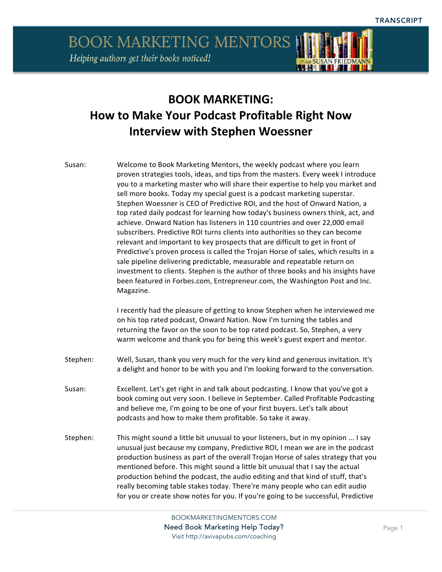

## **BOOK MARKETING: How to Make Your Podcast Profitable Right Now Interview with Stephen Woessner**

Susan: Welcome to Book Marketing Mentors, the weekly podcast where you learn proven strategies tools, ideas, and tips from the masters. Every week I introduce you to a marketing master who will share their expertise to help you market and sell more books. Today my special guest is a podcast marketing superstar. Stephen Woessner is CEO of Predictive ROI, and the host of Onward Nation, a top rated daily podcast for learning how today's business owners think, act, and achieve. Onward Nation has listeners in 110 countries and over 22,000 email subscribers. Predictive ROI turns clients into authorities so they can become relevant and important to key prospects that are difficult to get in front of Predictive's proven process is called the Trojan Horse of sales, which results in a sale pipeline delivering predictable, measurable and repeatable return on investment to clients. Stephen is the author of three books and his insights have been featured in Forbes.com, Entrepreneur.com, the Washington Post and Inc. Magazine. I recently had the pleasure of getting to know Stephen when he interviewed me on his top rated podcast, Onward Nation. Now I'm turning the tables and returning the favor on the soon to be top rated podcast. So, Stephen, a very warm welcome and thank you for being this week's guest expert and mentor. Stephen: Well, Susan, thank you very much for the very kind and generous invitation. It's a delight and honor to be with you and I'm looking forward to the conversation. Susan: Excellent. Let's get right in and talk about podcasting. I know that you've got a book coming out very soon. I believe in September. Called Profitable Podcasting and believe me, I'm going to be one of your first buyers. Let's talk about podcasts and how to make them profitable. So take it away. Stephen: This might sound a little bit unusual to your listeners, but in my opinion ... I say unusual just because my company, Predictive ROI, I mean we are in the podcast production business as part of the overall Trojan Horse of sales strategy that you

mentioned before. This might sound a little bit unusual that I say the actual production behind the podcast, the audio editing and that kind of stuff, that's really becoming table stakes today. There're many people who can edit audio for you or create show notes for you. If you're going to be successful, Predictive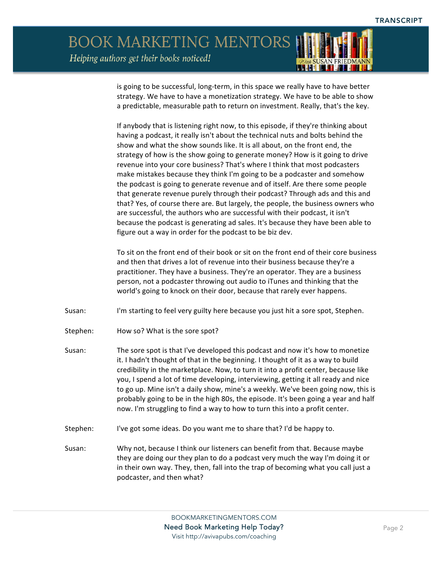

is going to be successful, long-term, in this space we really have to have better strategy. We have to have a monetization strategy. We have to be able to show a predictable, measurable path to return on investment. Really, that's the key.

If anybody that is listening right now, to this episode, if they're thinking about having a podcast, it really isn't about the technical nuts and bolts behind the show and what the show sounds like. It is all about, on the front end, the strategy of how is the show going to generate money? How is it going to drive revenue into your core business? That's where I think that most podcasters make mistakes because they think I'm going to be a podcaster and somehow the podcast is going to generate revenue and of itself. Are there some people that generate revenue purely through their podcast? Through ads and this and that? Yes, of course there are. But largely, the people, the business owners who are successful, the authors who are successful with their podcast, it isn't because the podcast is generating ad sales. It's because they have been able to figure out a way in order for the podcast to be biz dev.

To sit on the front end of their book or sit on the front end of their core business and then that drives a lot of revenue into their business because they're a practitioner. They have a business. They're an operator. They are a business person, not a podcaster throwing out audio to iTunes and thinking that the world's going to knock on their door, because that rarely ever happens.

Susan: I'm starting to feel very guilty here because you just hit a sore spot, Stephen.

- Stephen: How so? What is the sore spot?
- Susan: The sore spot is that I've developed this podcast and now it's how to monetize it. I hadn't thought of that in the beginning. I thought of it as a way to build credibility in the marketplace. Now, to turn it into a profit center, because like you, I spend a lot of time developing, interviewing, getting it all ready and nice to go up. Mine isn't a daily show, mine's a weekly. We've been going now, this is probably going to be in the high 80s, the episode. It's been going a year and half now. I'm struggling to find a way to how to turn this into a profit center.
- Stephen: I've got some ideas. Do you want me to share that? I'd be happy to.
- Susan: Why not, because I think our listeners can benefit from that. Because maybe they are doing our they plan to do a podcast very much the way I'm doing it or in their own way. They, then, fall into the trap of becoming what you call just a podcaster, and then what?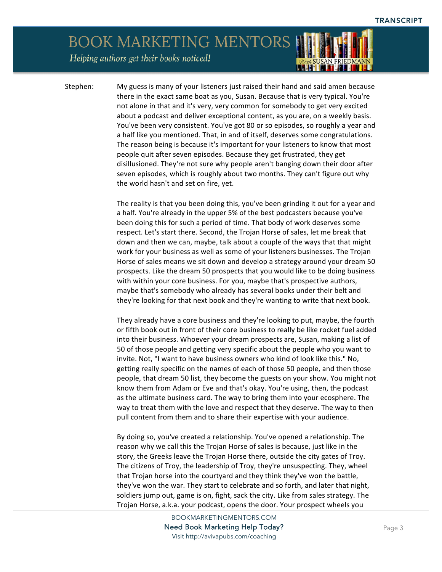Stephen: My guess is many of your listeners just raised their hand and said amen because there in the exact same boat as you, Susan. Because that is very typical. You're not alone in that and it's very, very common for somebody to get very excited about a podcast and deliver exceptional content, as you are, on a weekly basis. You've been very consistent. You've got 80 or so episodes, so roughly a year and a half like you mentioned. That, in and of itself, deserves some congratulations. The reason being is because it's important for your listeners to know that most people quit after seven episodes. Because they get frustrated, they get disillusioned. They're not sure why people aren't banging down their door after seven episodes, which is roughly about two months. They can't figure out why the world hasn't and set on fire, yet.

> The reality is that you been doing this, you've been grinding it out for a year and a half. You're already in the upper 5% of the best podcasters because you've been doing this for such a period of time. That body of work deserves some respect. Let's start there. Second, the Trojan Horse of sales, let me break that down and then we can, maybe, talk about a couple of the ways that that might work for your business as well as some of your listeners businesses. The Trojan Horse of sales means we sit down and develop a strategy around your dream 50 prospects. Like the dream 50 prospects that you would like to be doing business with within your core business. For you, maybe that's prospective authors, maybe that's somebody who already has several books under their belt and they're looking for that next book and they're wanting to write that next book.

> They already have a core business and they're looking to put, maybe, the fourth or fifth book out in front of their core business to really be like rocket fuel added into their business. Whoever your dream prospects are, Susan, making a list of 50 of those people and getting very specific about the people who you want to invite. Not, "I want to have business owners who kind of look like this." No, getting really specific on the names of each of those 50 people, and then those people, that dream 50 list, they become the guests on your show. You might not know them from Adam or Eve and that's okay. You're using, then, the podcast as the ultimate business card. The way to bring them into your ecosphere. The way to treat them with the love and respect that they deserve. The way to then pull content from them and to share their expertise with your audience.

By doing so, you've created a relationship. You've opened a relationship. The reason why we call this the Trojan Horse of sales is because, just like in the story, the Greeks leave the Trojan Horse there, outside the city gates of Troy. The citizens of Troy, the leadership of Troy, they're unsuspecting. They, wheel that Trojan horse into the courtyard and they think they've won the battle, they've won the war. They start to celebrate and so forth, and later that night, soldiers jump out, game is on, fight, sack the city. Like from sales strategy. The Trojan Horse, a.k.a. your podcast, opens the door. Your prospect wheels you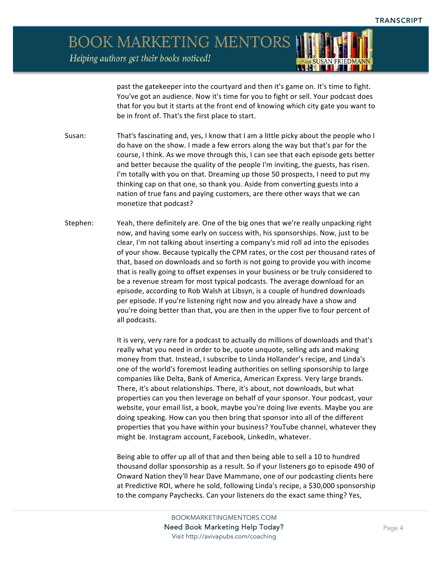

past the gatekeeper into the courtyard and then it's game on. It's time to fight. You've got an audience. Now it's time for you to fight or sell. Your podcast does that for you but it starts at the front end of knowing which city gate you want to be in front of. That's the first place to start.

Susan: That's fascinating and, yes, I know that I am a little picky about the people who I do have on the show. I made a few errors along the way but that's par for the course, I think. As we move through this, I can see that each episode gets better and better because the quality of the people I'm inviting, the guests, has risen. I'm totally with you on that. Dreaming up those 50 prospects, I need to put my thinking cap on that one, so thank you. Aside from converting guests into a nation of true fans and paying customers, are there other ways that we can monetize that podcast?

Stephen: Yeah, there definitely are. One of the big ones that we're really unpacking right now, and having some early on success with, his sponsorships. Now, just to be clear, I'm not talking about inserting a company's mid roll ad into the episodes of your show. Because typically the CPM rates, or the cost per thousand rates of that, based on downloads and so forth is not going to provide you with income that is really going to offset expenses in your business or be truly considered to be a revenue stream for most typical podcasts. The average download for an episode, according to Rob Walsh at Libsyn, is a couple of hundred downloads per episode. If you're listening right now and you already have a show and you're doing better than that, you are then in the upper five to four percent of all podcasts.

> It is very, very rare for a podcast to actually do millions of downloads and that's really what you need in order to be, quote unquote, selling ads and making money from that. Instead, I subscribe to Linda Hollander's recipe, and Linda's one of the world's foremost leading authorities on selling sponsorship to large companies like Delta, Bank of America, American Express. Very large brands. There, it's about relationships. There, it's about, not downloads, but what properties can you then leverage on behalf of your sponsor. Your podcast, your website, your email list, a book, maybe you're doing live events. Maybe you are doing speaking. How can you then bring that sponsor into all of the different properties that you have within your business? YouTube channel, whatever they might be. Instagram account, Facebook, LinkedIn, whatever.

> Being able to offer up all of that and then being able to sell a 10 to hundred thousand dollar sponsorship as a result. So if your listeners go to episode 490 of Onward Nation they'll hear Dave Mammano, one of our podcasting clients here at Predictive ROI, where he sold, following Linda's recipe, a \$30,000 sponsorship to the company Paychecks. Can your listeners do the exact same thing? Yes,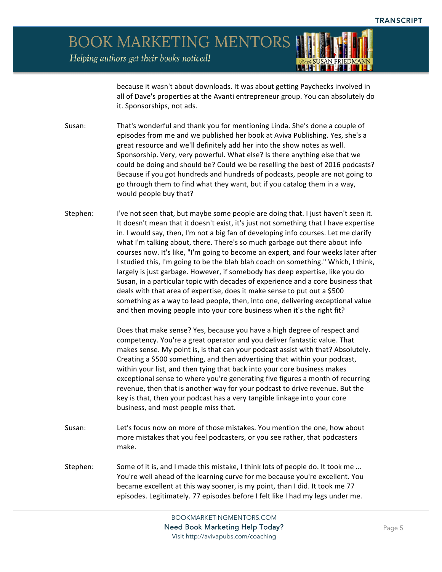

because it wasn't about downloads. It was about getting Paychecks involved in all of Dave's properties at the Avanti entrepreneur group. You can absolutely do it. Sponsorships, not ads.

Susan: That's wonderful and thank you for mentioning Linda. She's done a couple of episodes from me and we published her book at Aviva Publishing. Yes, she's a great resource and we'll definitely add her into the show notes as well. Sponsorship. Very, very powerful. What else? Is there anything else that we could be doing and should be? Could we be reselling the best of 2016 podcasts? Because if you got hundreds and hundreds of podcasts, people are not going to go through them to find what they want, but if you catalog them in a way, would people buy that?

Stephen: I've not seen that, but maybe some people are doing that. I just haven't seen it. It doesn't mean that it doesn't exist, it's just not something that I have expertise in. I would say, then, I'm not a big fan of developing info courses. Let me clarify what I'm talking about, there. There's so much garbage out there about info courses now. It's like, "I'm going to become an expert, and four weeks later after I studied this, I'm going to be the blah blah coach on something." Which, I think, largely is just garbage. However, if somebody has deep expertise, like you do Susan, in a particular topic with decades of experience and a core business that deals with that area of expertise, does it make sense to put out a \$500 something as a way to lead people, then, into one, delivering exceptional value and then moving people into your core business when it's the right fit?

> Does that make sense? Yes, because you have a high degree of respect and competency. You're a great operator and you deliver fantastic value. That makes sense. My point is, is that can your podcast assist with that? Absolutely. Creating a \$500 something, and then advertising that within your podcast, within your list, and then tying that back into your core business makes exceptional sense to where you're generating five figures a month of recurring revenue, then that is another way for your podcast to drive revenue. But the key is that, then your podcast has a very tangible linkage into your core business, and most people miss that.

- Susan: Let's focus now on more of those mistakes. You mention the one, how about more mistakes that you feel podcasters, or you see rather, that podcasters make.
- Stephen: Some of it is, and I made this mistake, I think lots of people do. It took me ... You're well ahead of the learning curve for me because you're excellent. You became excellent at this way sooner, is my point, than I did. It took me 77 episodes. Legitimately. 77 episodes before I felt like I had my legs under me.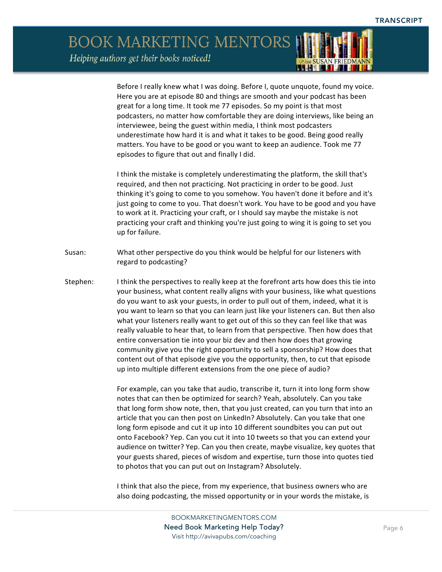BOOK MARKETING MENTORS

Helping authors get their books noticed!



Before I really knew what I was doing. Before I, quote unquote, found my voice. Here you are at episode 80 and things are smooth and your podcast has been great for a long time. It took me 77 episodes. So my point is that most podcasters, no matter how comfortable they are doing interviews, like being an interviewee, being the guest within media, I think most podcasters underestimate how hard it is and what it takes to be good. Being good really matters. You have to be good or you want to keep an audience. Took me 77 episodes to figure that out and finally I did.

I think the mistake is completely underestimating the platform, the skill that's required, and then not practicing. Not practicing in order to be good. Just thinking it's going to come to you somehow. You haven't done it before and it's just going to come to you. That doesn't work. You have to be good and you have to work at it. Practicing your craft, or I should say maybe the mistake is not practicing your craft and thinking you're just going to wing it is going to set you up for failure.

- Susan: What other perspective do you think would be helpful for our listeners with regard to podcasting?
- Stephen: I think the perspectives to really keep at the forefront arts how does this tie into your business, what content really aligns with your business, like what questions do you want to ask your guests, in order to pull out of them, indeed, what it is you want to learn so that you can learn just like your listeners can. But then also what your listeners really want to get out of this so they can feel like that was really valuable to hear that, to learn from that perspective. Then how does that entire conversation tie into your biz dev and then how does that growing community give you the right opportunity to sell a sponsorship? How does that content out of that episode give you the opportunity, then, to cut that episode up into multiple different extensions from the one piece of audio?

For example, can you take that audio, transcribe it, turn it into long form show notes that can then be optimized for search? Yeah, absolutely. Can you take that long form show note, then, that you just created, can you turn that into an article that you can then post on LinkedIn? Absolutely. Can you take that one long form episode and cut it up into 10 different soundbites you can put out onto Facebook? Yep. Can you cut it into 10 tweets so that you can extend your audience on twitter? Yep. Can you then create, maybe visualize, key quotes that your guests shared, pieces of wisdom and expertise, turn those into quotes tied to photos that you can put out on Instagram? Absolutely.

I think that also the piece, from my experience, that business owners who are also doing podcasting, the missed opportunity or in your words the mistake, is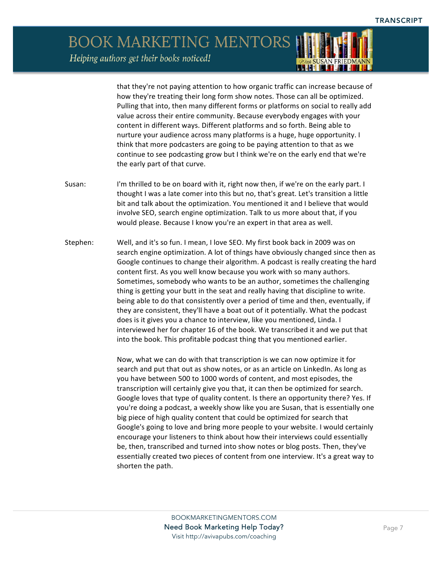**BOOK MARKETING MENTORS** 

Helping authors get their books noticed!

that they're not paying attention to how organic traffic can increase because of how they're treating their long form show notes. Those can all be optimized. Pulling that into, then many different forms or platforms on social to really add value across their entire community. Because everybody engages with your content in different ways. Different platforms and so forth. Being able to nurture your audience across many platforms is a huge, huge opportunity. I think that more podcasters are going to be paying attention to that as we continue to see podcasting grow but I think we're on the early end that we're the early part of that curve.

- Susan: I'm thrilled to be on board with it, right now then, if we're on the early part. I thought I was a late comer into this but no, that's great. Let's transition a little bit and talk about the optimization. You mentioned it and I believe that would involve SEO, search engine optimization. Talk to us more about that, if you would please. Because I know you're an expert in that area as well.
- Stephen: Well, and it's so fun. I mean, I love SEO. My first book back in 2009 was on search engine optimization. A lot of things have obviously changed since then as Google continues to change their algorithm. A podcast is really creating the hard content first. As you well know because you work with so many authors. Sometimes, somebody who wants to be an author, sometimes the challenging thing is getting your butt in the seat and really having that discipline to write. being able to do that consistently over a period of time and then, eventually, if they are consistent, they'll have a boat out of it potentially. What the podcast does is it gives you a chance to interview, like you mentioned, Linda. I interviewed her for chapter 16 of the book. We transcribed it and we put that into the book. This profitable podcast thing that you mentioned earlier.

Now, what we can do with that transcription is we can now optimize it for search and put that out as show notes, or as an article on LinkedIn. As long as you have between 500 to 1000 words of content, and most episodes, the transcription will certainly give you that, it can then be optimized for search. Google loves that type of quality content. Is there an opportunity there? Yes. If you're doing a podcast, a weekly show like you are Susan, that is essentially one big piece of high quality content that could be optimized for search that Google's going to love and bring more people to your website. I would certainly encourage your listeners to think about how their interviews could essentially be, then, transcribed and turned into show notes or blog posts. Then, they've essentially created two pieces of content from one interview. It's a great way to shorten the path.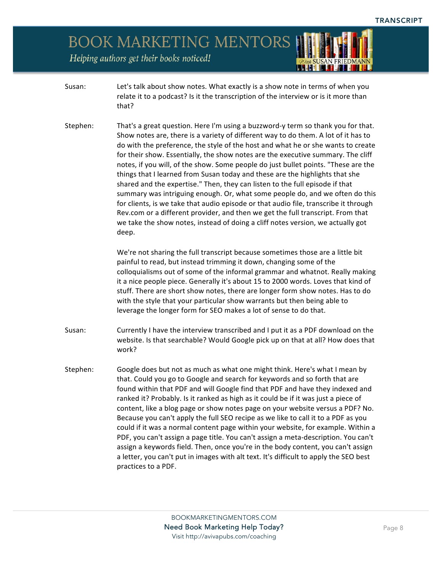## **BOOK MARKETING MENTORS**

Helping authors get their books noticed!



- Susan: Let's talk about show notes. What exactly is a show note in terms of when you relate it to a podcast? Is it the transcription of the interview or is it more than that?
- Stephen: That's a great question. Here I'm using a buzzword-y term so thank you for that. Show notes are, there is a variety of different way to do them. A lot of it has to do with the preference, the style of the host and what he or she wants to create for their show. Essentially, the show notes are the executive summary. The cliff notes, if you will, of the show. Some people do just bullet points. "These are the things that I learned from Susan today and these are the highlights that she shared and the expertise." Then, they can listen to the full episode if that summary was intriguing enough. Or, what some people do, and we often do this for clients, is we take that audio episode or that audio file, transcribe it through Rev.com or a different provider, and then we get the full transcript. From that we take the show notes, instead of doing a cliff notes version, we actually got deep.

We're not sharing the full transcript because sometimes those are a little bit painful to read, but instead trimming it down, changing some of the colloquialisms out of some of the informal grammar and whatnot. Really making it a nice people piece. Generally it's about 15 to 2000 words. Loves that kind of stuff. There are short show notes, there are longer form show notes. Has to do with the style that your particular show warrants but then being able to leverage the longer form for SEO makes a lot of sense to do that.

- Susan: Currently I have the interview transcribed and I put it as a PDF download on the website. Is that searchable? Would Google pick up on that at all? How does that work?
- Stephen: Google does but not as much as what one might think. Here's what I mean by that. Could you go to Google and search for keywords and so forth that are found within that PDF and will Google find that PDF and have they indexed and ranked it? Probably. Is it ranked as high as it could be if it was just a piece of content, like a blog page or show notes page on your website versus a PDF? No. Because you can't apply the full SEO recipe as we like to call it to a PDF as you could if it was a normal content page within your website, for example. Within a PDF, you can't assign a page title. You can't assign a meta-description. You can't assign a keywords field. Then, once you're in the body content, you can't assign a letter, you can't put in images with alt text. It's difficult to apply the SEO best practices to a PDF.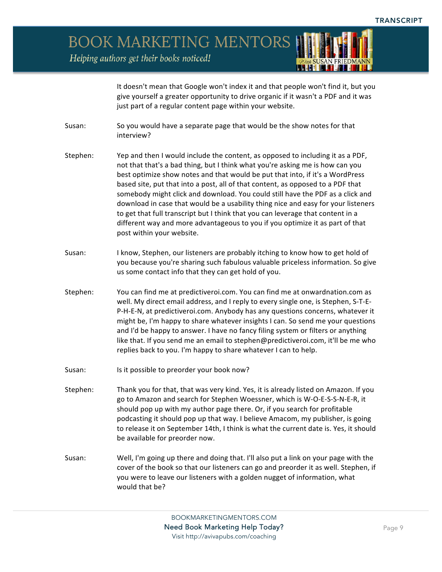

It doesn't mean that Google won't index it and that people won't find it, but you give yourself a greater opportunity to drive organic if it wasn't a PDF and it was just part of a regular content page within your website.

- Susan: So you would have a separate page that would be the show notes for that interview?
- Stephen: Yep and then I would include the content, as opposed to including it as a PDF, not that that's a bad thing, but I think what you're asking me is how can you best optimize show notes and that would be put that into, if it's a WordPress based site, put that into a post, all of that content, as opposed to a PDF that somebody might click and download. You could still have the PDF as a click and download in case that would be a usability thing nice and easy for your listeners to get that full transcript but I think that you can leverage that content in a different way and more advantageous to you if you optimize it as part of that post within your website.
- Susan: I know, Stephen, our listeners are probably itching to know how to get hold of you because you're sharing such fabulous valuable priceless information. So give us some contact info that they can get hold of you.
- Stephen: You can find me at predictiveroi.com. You can find me at onwardnation.com as well. My direct email address, and I reply to every single one, is Stephen, S-T-E-P-H-E-N, at predictiveroi.com. Anybody has any questions concerns, whatever it might be, I'm happy to share whatever insights I can. So send me your questions and I'd be happy to answer. I have no fancy filing system or filters or anything like that. If you send me an email to stephen@predictiveroi.com, it'll be me who replies back to you. I'm happy to share whatever I can to help.
- Susan: Is it possible to preorder your book now?
- Stephen: Thank you for that, that was very kind. Yes, it is already listed on Amazon. If you go to Amazon and search for Stephen Woessner, which is W-O-E-S-S-N-E-R, it should pop up with my author page there. Or, if you search for profitable podcasting it should pop up that way. I believe Amacom, my publisher, is going to release it on September 14th, I think is what the current date is. Yes, it should be available for preorder now.
- Susan: Well, I'm going up there and doing that. I'll also put a link on your page with the cover of the book so that our listeners can go and preorder it as well. Stephen, if you were to leave our listeners with a golden nugget of information, what would that be?